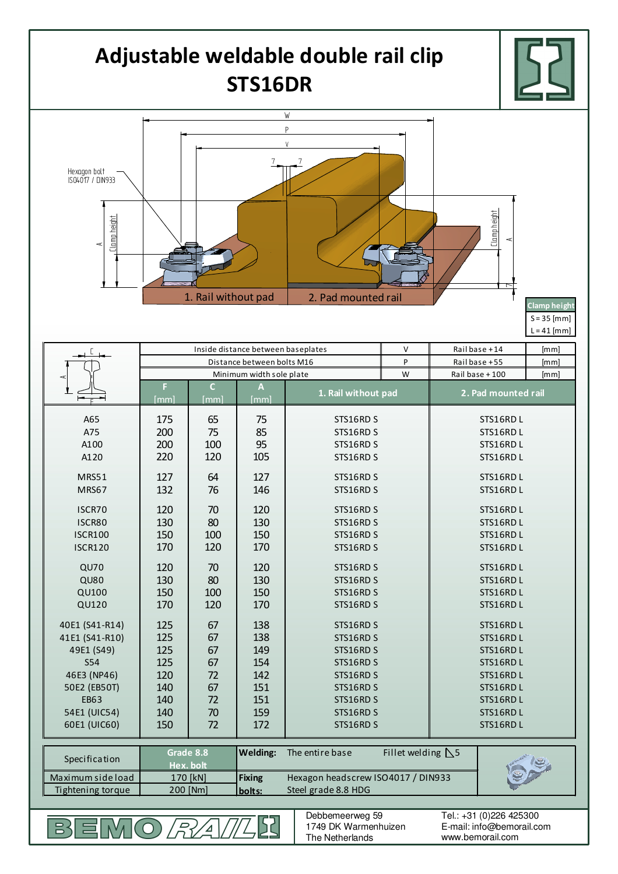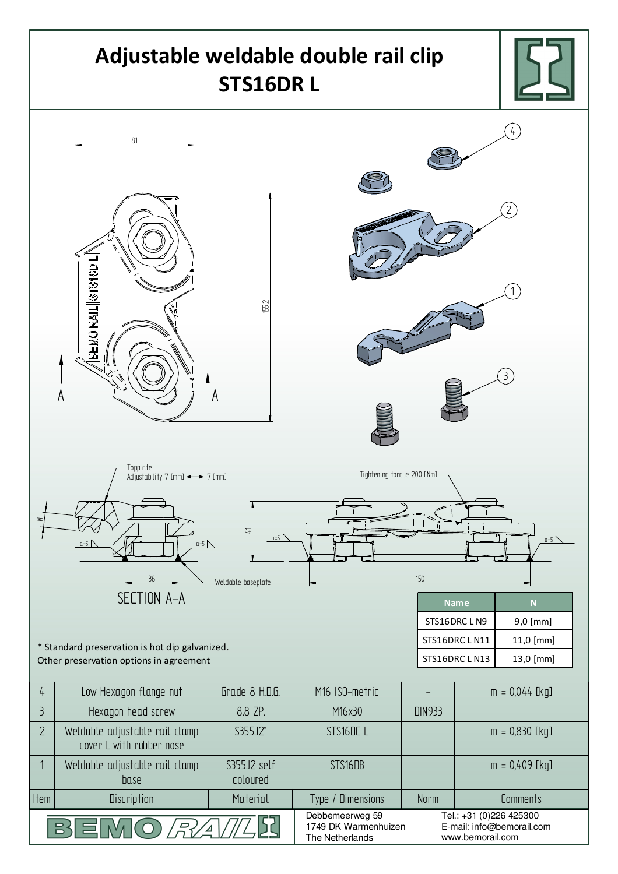